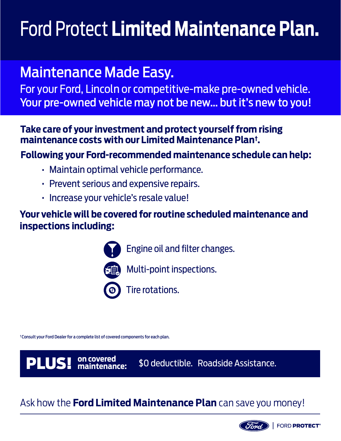## Ford Protect **Limited Maintenance Plan.**

### Maintenance Made Easy.

For your Ford, Lincoln or competitive-make pre-owned vehicle. Your pre-owned vehicle may not be new… but it's new to you!

#### **† maintenance costs with our Limited Maintenance Plan . Take care of your investment and protect yourself from rising**

#### **Following your Ford-recommended maintenance schedule can help:**

- Maintain optimal vehicle performance.
- Prevent serious and expensive repairs.
- Increase your vehicle's resale value!

#### **Your vehicle will be covered for routine scheduled maintenance and inspections including:**



• Engine oil and filter changes.



• Multi-point inspections.

• Tire rotations.

† Consult your Ford Dealer for a complete list of covered components for each plan.

PLUS! **on covered** 

**maintenance:** \$0 deductible. Roadside Assistance.

#### Ask how the **Ford Limited Maintenance Plan** can save you money!